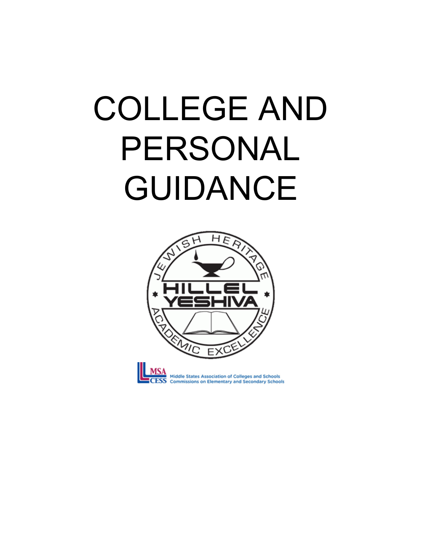# COLLEGE AND PERSONAL GUIDANCE

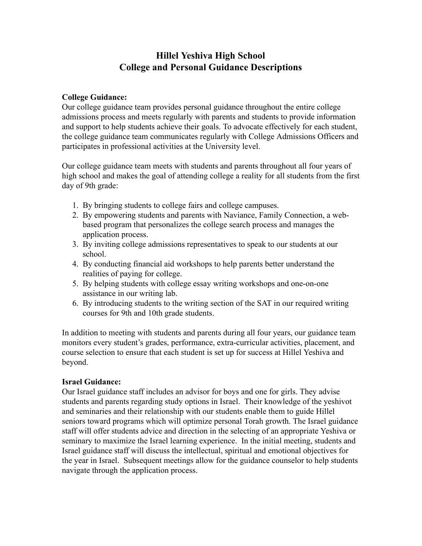# **Hillel Yeshiva High School College and Personal Guidance Descriptions**

## **College Guidance:**

Our college guidance team provides personal guidance throughout the entire college admissions process and meets regularly with parents and students to provide information and support to help students achieve their goals. To advocate effectively for each student, the college guidance team communicates regularly with College Admissions Officers and participates in professional activities at the University level.

Our college guidance team meets with students and parents throughout all four years of high school and makes the goal of attending college a reality for all students from the first day of 9th grade:

- 1. By bringing students to college fairs and college campuses.
- 2. By empowering students and parents with Naviance, Family Connection, a web based program that personalizes the college search process and manages the application process.
- 3. By inviting college admissions representatives to speak to our students at our school.
- 4. By conducting financial aid workshops to help parents better understand the realities of paying for college.
- 5. By helping students with college essay writing workshops and one-on-one assistance in our writing lab.
- 6. By introducing students to the writing section of the SAT in our required writing courses for 9th and 10th grade students.

In addition to meeting with students and parents during all four years, our guidance team monitors every student's grades, performance, extra-curricular activities, placement, and course selection to ensure that each student is set up for success at Hillel Yeshiva and beyond.

# **Israel Guidance:**

Our Israel guidance staff includes an advisor for boys and one for girls. They advise students and parents regarding study options in Israel. Their knowledge of the yeshivot and seminaries and their relationship with our students enable them to guide Hillel seniors toward programs which will optimize personal Torah growth. The Israel guidance staff will offer students advice and direction in the selecting of an appropriate Yeshiva or seminary to maximize the Israel learning experience. In the initial meeting, students and Israel guidance staff will discuss the intellectual, spiritual and emotional objectives for the year in Israel. Subsequent meetings allow for the guidance counselor to help students navigate through the application process.